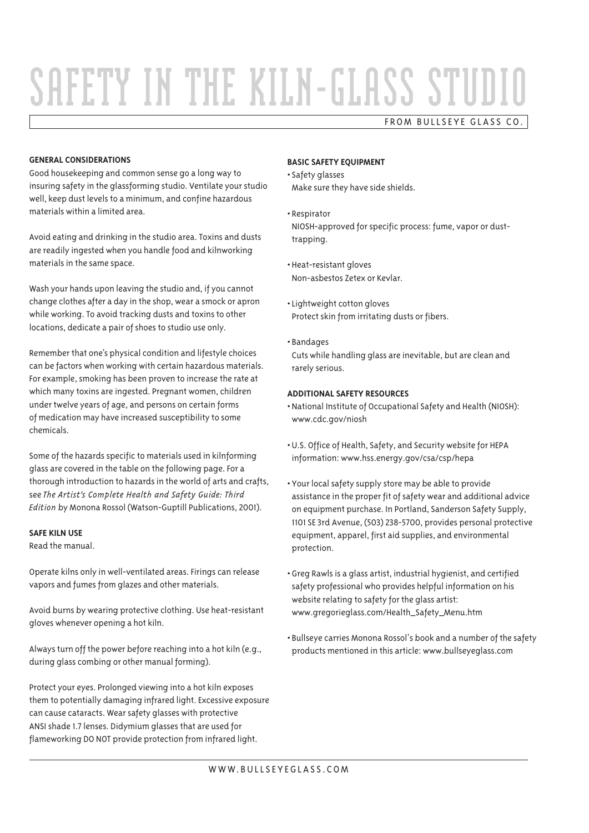# SAFETY IN THE KILN-GLASS STUDIO

# FROM BULLSEYE GLASS CO.

#### **GENERAL CONSIDERATIONS**

Good housekeeping and common sense go a long way to insuring safety in the glassforming studio. Ventilate your studio well, keep dust levels to a minimum, and confine hazardous materials within a limited area.

Avoid eating and drinking in the studio area. Toxins and dusts are readily ingested when you handle food and kilnworking materials in the same space.

Wash your hands upon leaving the studio and, if you cannot change clothes after a day in the shop, wear a smock or apron while working. To avoid tracking dusts and toxins to other locations, dedicate a pair of shoes to studio use only.

Remember that one's physical condition and lifestyle choices can be factors when working with certain hazardous materials. For example, smoking has been proven to increase the rate at which many toxins are ingested. Pregnant women, children under twelve years of age, and persons on certain forms of medication may have increased susceptibility to some chemicals.

Some of the hazards specific to materials used in kilnforming glass are covered in the table on the following page. For a thorough introduction to hazards in the world of arts and crafts, see The Artist's Complete Health and Safety Guide: Third Edition by Monona Rossol (Watson-Guptill Publications, 2001).

#### **SAFE KILN USE**

Read the manual.

Operate kilns only in well-ventilated areas. Firings can release vapors and fumes from glazes and other materials.

Avoid burns by wearing protective clothing. Use heat-resistant aloves whenever opening a hot kiln.

Always turn off the power before reaching into a hot kiln (e.g., during glass combing or other manual forming).

Protect your eyes. Prolonged viewing into a hot kiln exposes them to potentially damaging infrared light. Excessive exposure can cause cataracts. Wear safety glasses with protective ANSI shade 1.7 lenses. Didymium glasses that are used for flameworking DO NOT provide protection from infrared light.

# **BASIC SAFETY EQUIPMENT**

· Safety glasses

Make sure they have side shields.

- Respirator NIOSH-approved for specific process: fume, vapor or dusttrapping.
- · Heat-resistant gloves Non-asbestos Zetex or Keylar.
- Lightweight cotton gloves Protect skin from irritating dusts or fibers.
- · Bandages Cuts while handling glass are inevitable, but are clean and rarely serious.

## **ADDITIONAL SAFETY RESOURCES**

- National Institute of Occupational Safety and Health (NIOSH): www.cdc.gov/niosh
- . U.S. Office of Health, Safety, and Security website for HEPA information: www.hss.energy.gov/csa/csp/hepa
- Your local safety supply store may be able to provide assistance in the proper fit of safety wear and additional advice on equipment purchase. In Portland, Sanderson Safety Supply, 1101 SE 3rd Avenue, (503) 238-5700, provides personal protective equipment, apparel, first aid supplies, and environmental protection.
- . Greg Rawls is a glass artist, industrial hygienist, and certified safety professional who provides helpful information on his website relating to safety for the glass artist: www.gregorieglass.com/Health\_Safety\_Menu.htm
- · Bullseye carries Monona Rossol's book and a number of the safety products mentioned in this article: www.bullseyeglass.com